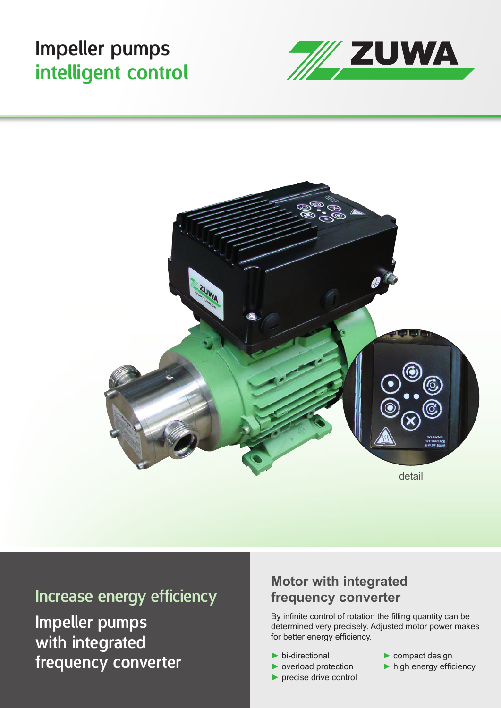# Impeller pumps intelligent control





detail

# Increase energy efficiency

Impeller pumps with integrated frequency converter

#### **Motor with integrated frequency converter**

By infinite control of rotation the filling quantity can be determined very precisely. Adjusted motor power makes for better energy efficiency.

- ► bi-directional
- ► overload protection
- ► precise drive control
- ► compact design
- $\blacktriangleright$  high energy efficiency